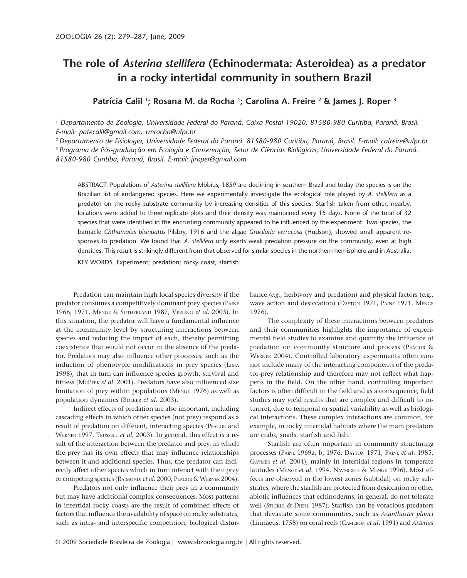# **The role of** *Asterina stellifera* **(Echinodermata: Asteroidea) as a predator in a rocky intertidal community in southern Brazil**

**Patrícia Calil 1; Rosana M. da Rocha 1; Carolina A. Freire 2 & James J. Roper 3**

*1 Departamento de Zoologia, Universidade Federal do Paraná. Caixa Postal 19020, 81580-980 Curitiba, Paraná, Brasil. E-mail: patecalil@gmail.com; rmrocha@ufpr.br*

*2 Departamento de Fisiologia, Universidade Federal do Paraná. 81580-980 Curitiba, Paraná, Brasil. E-mail: cafreire@ufpr.br 3 Programa de Pós-graduação em Ecologia e Conservação, Setor de Ciências Biológicas, Universidade Federal do Paraná. 81580-980 Curitiba, Paraná, Brasil. E-mail: jjroper@gmail.com*

ABSTRACT. Populations of *Asterina stellifera* Möbius, 1859 are declining in southern Brazil and today the species is on the Brazilian list of endangered species. Here we experimentally investigate the ecological role played by *A. stellifera* as a predator on the rocky substrate community by increasing densities of this species. Starfish taken from other, nearby, locations were added to three replicate plots and their density was maintained every 15 days. None of the total of 32 species that were identified in the encrusting community appeared to be influenced by the experiment. Two species, the barnacle *Chthamalus bisinuatus* Pilsbry, 1916 and the algae *Gracilaria verrucosa* (Hudson), showed small apparent responses to predation. We found that *A. stellifera* only exerts weak predation pressure on the community, even at high densities. This result is strikingly different from that observed for similar species in the northern hemisphere and in Australia.

KEY WORDS. Experiment; predation; rocky coast; starfish.

Predation can maintain high local species diversity if the predator consumes a competitively dominant prey species (PAINE 1966, 1971, MENGE & SUTHERLAND 1987, VERLING *et al.* 2003). In this situation, the predator will have a fundamental influence at the community level by structuring interactions between species and reducing the impact of each, thereby permitting coexistence that would not occur in the absence of the predator. Predators may also influence other processes, such as the induction of phenotypic modifications in prey species (LIMA 1998), that in turn can influence species growth, survival and fitness (MCPEEK *et al.* 2001). Predators have also influenced size limitation of prey within populations (MENGE 1976) as well as population dynamics (BOLKER *et al.* 2003).

Indirect effects of predation are also important, including cascading effects in which other species (not prey) respond as a result of predation on different, interacting species (PEACOR and WERNER 1997, TRUSSELL *et al.* 2003). In general, this effect is a result of the interaction between the predator and prey, in which the prey has its own effects that may influence relationships between it and additional species. Thus, the predator can indirectly affect other species which in turn interact with their prey or competing species (RAIMONDI *et al.* 2000, PEACOR & WERNER 2004).

Predators not only influence their prey in a community but may have additional complex consequences. Most patterns in intertidal rocky coasts are the result of combined effects of factors that influence the availability of space on rocky substrates, such as intra- and interspecific competition, biological disturbance (*e.g.*, herbivory and predation) and physical factors (e.g., wave action and desiccation) (DAYTON 1971, PAINE 1971, MENGE 1976).

The complexity of these interactions between predators and their communities highlights the importance of experimental field studies to examine and quantify the influence of predation on community structure and process (PEACOR & WERNER 2004). Controlled laboratory experiments often cannot include many of the interacting components of the predator-prey relationship and therefore may not reflect what happens in the field. On the other hand, controlling important factors is often difficult in the field and as a consequence, field studies may yield results that are complex and difficult to interpret, due to temporal or spatial variability as well as biological interactions. These complex interactions are common, for example, in rocky intertidal habitats where the main predators are crabs, snails, starfish and fish.

Starfish are often important in community structuring processes (PAINE 1969a, b, 1976, DAYTON 1971, PAINE *et al.* 1985, GAYMER *et al.* 2004), mainly in intertidal regions in temperate latitudes (MENGE *et al.* 1994, NAVARRETE & MENGE 1996). Most effects are observed in the lowest zones (subtidal) on rocky substrates, where the starfish are protected from desiccation or other abiotic influences that echinoderms, in general, do not tolerate well (STICKLE & DIEHL 1987). Starfish can be voracious predators that devastate some communities, such as *Acanthaster planci* (Linnaeus, 1758) on coral reefs (CAMERON *et al.* 1991) and *Asterias*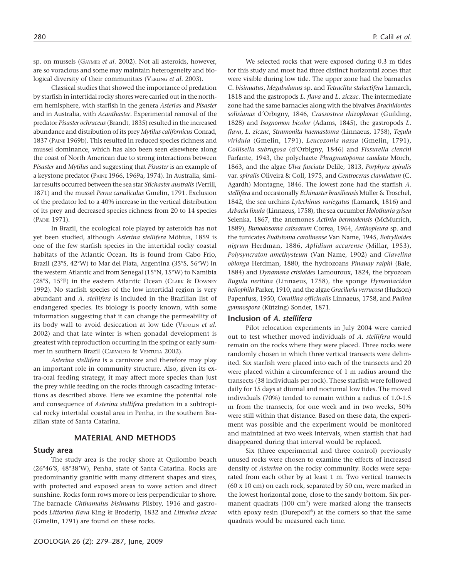sp. on mussels (GAYMER *et al.* 2002). Not all asteroids, however, are so voracious and some may maintain heterogeneity and biological diversity of their communities (VERLING *et al.* 2003).

Classical studies that showed the importance of predation by starfish in intertidal rocky shores were carried out in the northern hemisphere, with starfish in the genera *Asterias* and *Pisaster* and in Australia, with *Acanthaster*. Experimental removal of the predator *Pisaster ochraceus* (Brandt, 1835) resulted in the increased abundance and distribution of its prey *Mytilus californicus* Conrad, 1837 (PAINE 1969b). This resulted in reduced species richness and mussel dominance, which has also been seen elsewhere along the coast of North American due to strong interactions between *Pisaster* and *Mytilus* and suggesting that *Pisaster* is an example of a keystone predator (PAINE 1966, 1969a, 1974). In Australia, similar results occurred between the sea star *Stichaster australis* (Verrill, 1871) and the mussel *Perna canaliculus* Gmelin, 1791. Exclusion of the predator led to a 40% increase in the vertical distribution of its prey and decreased species richness from 20 to 14 species (PAINE 1971).

In Brazil, the ecological role played by asteroids has not yet been studied, although *Asterina stellifera* Möbius, 1859 is one of the few starfish species in the intertidal rocky coastal habitats of the Atlantic Ocean. Its is found from Cabo Frio, Brazil (23°S, 42°W) to Mar del Plata, Argentina (35°S, 56°W) in the western Atlantic and from Senegal (15°N, 15°W) to Namibia (28°S, 15°E) in the eastern Atlantic Ocean (CLARK & DOWNEY 1992). No starfish species of the low intertidal region is very abundant and *A. stellifera* is included in the Brazilian list of endangered species. Its biology is poorly known, with some information suggesting that it can change the permeability of its body wall to avoid desiccation at low tide (VIDOLIN *et al.* 2002) and that late winter is when gonadal development is greatest with reproduction occurring in the spring or early summer in southern Brazil (CARVALHO & VENTURA 2002).

*Asterina stellifera* is a carnivore and therefore may play an important role in community structure. Also, given its extra-oral feeding strategy, it may affect more species than just the prey while feeding on the rocks through cascading interactions as described above. Here we examine the potential role and consequence of *Asterina stellifera* predation in a subtropical rocky intertidal coastal area in Penha, in the southern Brazilian state of Santa Catarina.

# **MATERIAL AND METHODS**

# **Study area**

The study area is the rocky shore at Quilombo beach (26°46'S, 48°38'W), Penha, state of Santa Catarina. Rocks are predominantly granitic with many different shapes and sizes, with protected and exposed areas to wave action and direct sunshine. Rocks form rows more or less perpendicular to shore. The barnacle *Chthamalus bisinuatus* Pilsbry, 1916 and gastropods *Littorina flava* King & Broderip, 1832 and *Littorina ziczac* (Gmelin, 1791) are found on these rocks.

We selected rocks that were exposed during 0.3 m tides for this study and most had three distinct horizontal zones that were visible during low tide. The upper zone had the barnacles *C. bisinuatus*, *Megabalanus* sp. and *Tetraclita stalactifera* Lamarck, 1818 and the gastropods *L. flava* and *L. ziczac*. The intermediate zone had the same barnacles along with the bivalves *Brachidontes solisianus* d´Orbigny, 1846, *Crassostrea rhizophorae* (Guilding, 1828) and *Isognomon bicolor* (Adams, 1845), the gastropods *L. flava*, *L. ziczac*, *Stramonita haemastoma* (Linnaeus, 1758), *Tegula viridula* (Gmelin, 1791), *Leucozonia nassa* (Gmelin, 1791), *Collisella subrugosa* (d'Orbigny, 1846) and *Fissurella clenchi* Farfante, 1943, the polychaete *Phragmatopoma caudata* Mörch, 1863, and the algae *Ulva fasciata* Delile, 1813, *Porphyra spiralis* var. *spiralis* Oliveira & Coll, 1975, and *Centroceras clavulatum* (C. Agardh) Montagne, 1846. The lowest zone had the starfish *A. stellifera* and occasionally *Echinaster brasiliensis* Müller & Troschel, 1842, the sea urchins *Lytechinus variegatus* (Lamarck, 1816) and *Arbacia lixula* (Linnaeus, 1758), the sea cucumber *Holothuria grisea* Selenka, 1867, the anemones *Actinia bermudensis* (McMurrich, 1889), *Bunodosoma caissarum* Correa, 1964, *Anthopleura* sp. and the tunicates *Eudistoma carolinense* Van Name, 1945, *Botrylloides nigrum* Herdman, 1886, *Aplidium accarense* (Millar, 1953), *Polysyncraton amethysteum* (Van Name, 1902) and *Clavelina oblonga* Herdman, 1880, the hydrozoans *Pinauay ralphi* (Bale, 1884) and *Dynamena crisioides* Lamouroux, 1824, the bryozoan *Bugula neritina* (Linnaeus, 1758), the sponge *Hymeniacidon heliophila* Parker, 1910, and the algae *Gracilaria verrucosa* (Hudson) Papenfuss, 1950, *Corallina officinalis* Linnaeus, 1758, and *Padina gymnospora* (Kützing) Sonder, 1871.

#### **Inclusion of** *A. stellifera*

Pilot relocation experiments in July 2004 were carried out to test whether moved individuals of *A. stellifera* would remain on the rocks where they were placed. Three rocks were randomly chosen in which three vertical transects were delimited. Six starfish were placed into each of the transects and 20 were placed within a circumference of 1 m radius around the transects (38 individuals per rock). These starfish were followed daily for 15 days at diurnal and nocturnal low tides. The moved individuals (70%) tended to remain within a radius of 1.0-1.5 m from the transects, for one week and in two weeks, 50% were still within that distance. Based on these data, the experiment was possible and the experiment would be monitored and maintained at two week intervals, when starfish that had disappeared during that interval would be replaced.

Six (three experimental and three control) previously unused rocks were chosen to examine the effects of increased density of *Asterina* on the rocky community. Rocks were separated from each other by at least 1 m. Two vertical transects (60 x 10 cm) on each rock, separated by 50 cm, were marked in the lowest horizontal zone, close to the sandy bottom. Six permanent quadrats (100 cm<sup>2</sup>) were marked along the transects with epoxy resin (Durepoxi®) at the corners so that the same quadrats would be measured each time.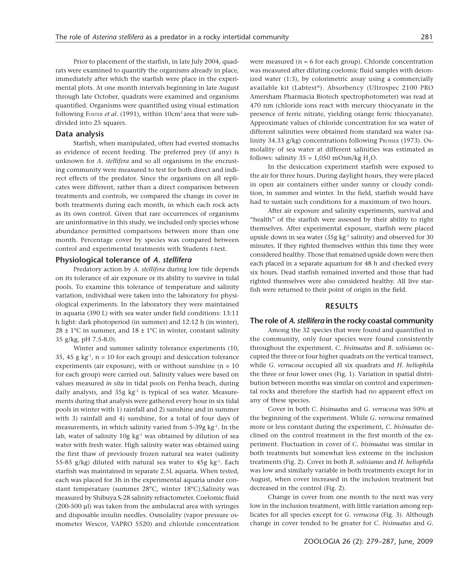Prior to placement of the starfish, in late July 2004, quadrats were examined to quantify the organisms already in place, immediately after which the starfish were place in the experimental plots. At one month intervals beginning in late August through late October, quadrats were examined and organisms quantified. Organisms were quantified using visual estimation following Foster et al. (1991), within 10cm<sup>2</sup> area that were subdivided into 25 squares.

## **Data analysis**

Starfish, when manipulated, often had everted stomachs as evidence of recent feeding. The preferred prey (if any) is unknown for *A. stellifera* and so all organisms in the encrusting community were measured to test for both direct and indirect effects of the predator. Since the organisms on all replicates were different, rather than a direct comparison between treatments and controls, we compared the change in cover in both treatments during each month, in which each rock acts as its own control. Given that rare occurrences of organisms are uninformative in this study, we included only species whose abundance permitted comparisons between more than one month. Percentage cover by species was compared between control and experimental treatments with Students *t*-test.

## **Physiological tolerance of** *A. stellifera*

Predatory action by *A. stellifera* during low tide depends on its tolerance of air exposure or its ability to survive in tidal pools. To examine this tolerance of temperature and salinity variation, individual were taken into the laboratory for physiological experiments. In the laboratory they were maintained in aquaria (390 L) with sea water under field conditions: 13:11 h light: dark photoperiod (in summer) and 12:12 h (in winter),  $28 \pm 1$ <sup>o</sup>C in summer, and  $18 \pm 1$ <sup>o</sup>C in winter, constant salinity 35 g/kg, pH 7.5-8.0).

Winter and summer salinity tolerance experiments (10, 35, 45 g kg<sup>-1</sup>,  $n = 10$  for each group) and desiccation tolerance experiments (air exposure), with or without sunshine ( $n = 10$ ) for each group) were carried out. Salinity values were based on values measured *in situ* in tidal pools on Penha beach, during daily analysis, and 35g kg<sup>-1</sup> is typical of sea water. Measurements during that analysis were gathered every hour in six tidal pools in winter with 1) rainfall and 2) sunshine and in summer with 3) rainfall and 4) sunshine, for a total of four days of measurements, in which salinity varied from  $5-39g$  kg<sup>-1</sup>. In the lab, water of salinity  $10g \text{ kg}^{-1}$  was obtained by dilution of sea water with fresh water. High salinity water was obtained using the first thaw of previously frozen natural sea water (salinity 55-85 g/kg) diluted with natural sea water to  $45g \text{ kg}^{-1}$ . Each starfish was maintained in separate 2.5L aquaria. When tested, each was placed for 3h in the experimental aquaria under constant temperature (summer 28ºC, winter 18ºC).Salinity was measured by Shibuya S-28 salinity refractometer. Coelomic fluid (200-500 µl) was taken from the ambulacral area with syringes and disposable insulin needles. Osmolality (vapor pressure osmometer Wescor, VAPRO 5520) and chloride concentration

were measured ( $n = 6$  for each group). Chloride concentration was measured after diluting coelomic fluid samples with deionized water (1:3), by colorimetric assay using a commercially available kit (Labtest®). Absorbency (Ultrospec 2100 PRO Amersham Pharmacia Biotech spectrophotometer) was read at 470 nm (chloride ions react with mercury thiocyanate in the presence of ferric nitrate, yielding orange ferric thiocyanate). Approximate values of chloride concentration for sea water of different salinities were obtained from standard sea water (salinity 34.33 g/kg) concentrations following PROSSER (1973). Osmolality of sea water at different salinities was estimated as follows: salinity  $35 = 1,050$  mOsm/kg H<sub>2</sub>O.

In the desiccation experiment starfish were exposed to the air for three hours. During daylight hours, they were placed in open air containers either under sunny or cloudy condition, in summer and winter. In the field, starfish would have had to sustain such conditions for a maximum of two hours.

After air exposure and salinity experiments, survival and "health" of the starfish were assessed by their ability to right themselves. After experimental exposure, starfish were placed upside down in sea water (35g kg<sup>-1</sup> salinity) and observed for 30 minutes. If they righted themselves within this time they were considered healthy. Those that remained upside down were then each placed in a separate aquarium for 48 h and checked every six hours. Dead starfish remained inverted and those that had righted themselves were also considered healthy. All live starfish were returned to their point of origin in the field.

#### **RESULTS**

## **The role of** *A. stellifera* **in the rocky coastal community**

Among the 32 species that were found and quantified in the community, only four species were found consistently throughout the experiment. *C. bisinuatus* and *B. solisianus* occupied the three or four higher quadrats on the vertical transect, while *G. verrucosa* occupied all six quadrats and *H. heliophila* the three or four lower ones (Fig. 1). Variation in spatial distribution between months was similar on control and experimental rocks and therefore the starfish had no apparent effect on any of these species.

Cover in both *C. bisinuatus* and *G. verrucosa* was 50% at the beginning of the experiment. While *G. verrucosa* remained more or less constant during the experiment, *C. bisinuatus* declined on the control treatment in the first month of the experiment. Fluctuation in cover of *C. bisinuatus* was similar in both treatments but somewhat less extreme in the inclusion treatments (Fig. 2). Cover in both *B. solisianus* and *H. heliophila* was low and similarly variable in both treatments except for in August, when cover increased in the inclusion treatment but decreased in the control (Fig. 2).

Change in cover from one month to the next was very low in the inclusion treatment, with little variation among replicates for all species except for *G. verrucosa* (Fig. 3). Although change in cover tended to be greater for *C. bisinuatus* and *G.*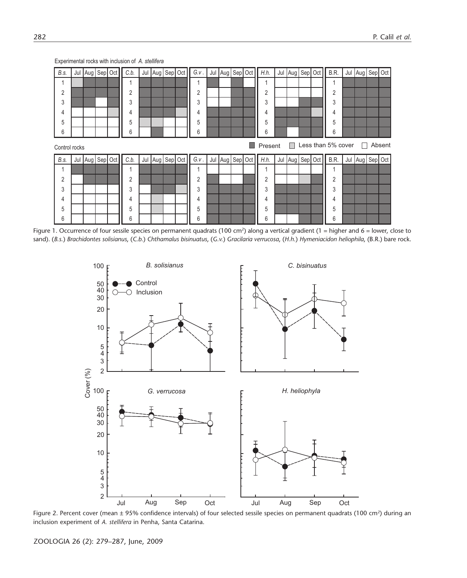| B.s.           |  |                 |  |  | Jul Aug Sep Oct   C.b. |  |  |  |                 | Jul Aug Sep Oct   G.v. |  |  |  |                 | Jul Aug Sep Oct   H.h. |  |                 | Jul Aug Sep Oct | B.R.                      | Jul Aug Sep Oct |        |
|----------------|--|-----------------|--|--|------------------------|--|--|--|-----------------|------------------------|--|--|--|-----------------|------------------------|--|-----------------|-----------------|---------------------------|-----------------|--------|
| 1              |  |                 |  |  |                        |  |  |  |                 | 4                      |  |  |  |                 | 1                      |  |                 |                 | 1                         |                 |        |
| $\overline{2}$ |  |                 |  |  | 2                      |  |  |  |                 | $\overline{2}$         |  |  |  |                 | 2                      |  |                 |                 | 2                         |                 |        |
| 3              |  |                 |  |  | 3                      |  |  |  |                 | 3                      |  |  |  |                 | 3                      |  |                 |                 | 3                         |                 |        |
| 4              |  |                 |  |  | 4                      |  |  |  |                 | 4                      |  |  |  |                 | 4                      |  |                 |                 | 4                         |                 |        |
| 5              |  |                 |  |  | 5                      |  |  |  |                 | 5                      |  |  |  |                 | 5                      |  |                 |                 | 5                         |                 |        |
| 6              |  |                 |  |  | 6                      |  |  |  |                 | 6                      |  |  |  |                 | 6                      |  |                 |                 | 6                         |                 |        |
| Control rocks  |  |                 |  |  |                        |  |  |  |                 |                        |  |  |  |                 |                        |  |                 |                 |                           |                 |        |
|                |  |                 |  |  |                        |  |  |  |                 |                        |  |  |  |                 | Present                |  |                 |                 | $\Box$ Less than 5% cover | $\perp$         | Absent |
| B.s.           |  | Jul Aug Sep Oct |  |  | C.b.                   |  |  |  | Jul Aug Sep Oct | G.v.                   |  |  |  | Jul Aug Sep Oct | H.h.                   |  | Jul Aug Sep Oct |                 | B.R.                      | Jul Aug Sep Oct |        |
| 1              |  |                 |  |  |                        |  |  |  |                 | 1                      |  |  |  |                 |                        |  |                 |                 | 1                         |                 |        |
| $\overline{2}$ |  |                 |  |  | $\overline{2}$         |  |  |  |                 | $\overline{2}$         |  |  |  |                 | 2                      |  |                 |                 | 2                         |                 |        |
| 3              |  |                 |  |  | 3                      |  |  |  |                 | 3                      |  |  |  |                 | 3                      |  |                 |                 | 3                         |                 |        |
| 4              |  |                 |  |  | 4                      |  |  |  |                 | 4                      |  |  |  |                 | 4                      |  |                 |                 | 4                         |                 |        |
| 5              |  |                 |  |  | 5                      |  |  |  |                 | 5                      |  |  |  |                 | 5                      |  |                 |                 | 5                         |                 |        |

Experimental rocks with inclusion of *A. stellifera*

Figure 1. Occurrence of four sessile species on permanent quadrats (100 cm²) along a vertical gradient (1 = higher and 6 = lower, close to sand). (*B.s.*) *Brachidontes solisianus*, (*C.b.*) *Chthamalus bisinuatus*, (*G.v.*) *Gracilaria verrucosa*, (*H.h.*) *Hymeniacidon heliophila*, (B.R.) bare rock.



Figure 2. Percent cover (mean ± 95% confidence intervals) of four selected sessile species on permanent quadrats (100 cm²) during an inclusion experiment of *A. stellifera* in Penha, Santa Catarina.

ZOOLOGIA 26 (2): 279–287, June, 2009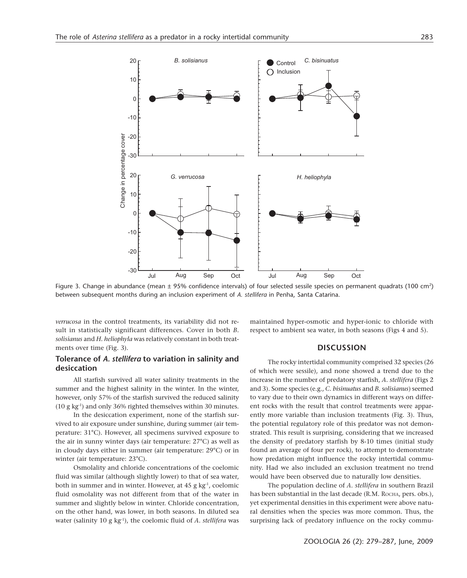

Figure 3. Change in abundance (mean ± 95% confidence intervals) of four selected sessile species on permanent quadrats (100 cm<sup>2</sup>)

*verrucosa* in the control treatments, its variability did not result in statistically significant differences. Cover in both *B. solisianus* and *H. heliophyla* was relatively constant in both treatments over time (Fig. 3).

# **Tolerance of** *A. stellifera* **to variation in salinity and desiccation**

All starfish survived all water salinity treatments in the summer and the highest salinity in the winter. In the winter, however, only 57% of the starfish survived the reduced salinity (10 g  $kg<sup>-1</sup>$ ) and only 36% righted themselves within 30 minutes.

In the desiccation experiment, none of the starfish survived to air exposure under sunshine, during summer (air temperature: 31°C). However, all specimens survived exposure to the air in sunny winter days (air temperature: 27°C) as well as in cloudy days either in summer (air temperature: 29°C) or in winter (air temperature: 23°C).

Osmolality and chloride concentrations of the coelomic fluid was similar (although slightly lower) to that of sea water, both in summer and in winter. However, at 45 g  $kg<sup>-1</sup>$ , coelomic fluid osmolality was not different from that of the water in summer and slightly below in winter. Chloride concentration, on the other hand, was lower, in both seasons. In diluted sea water (salinity 10 g kg-1), the coelomic fluid of *A. stellifera* was

maintained hyper-osmotic and hyper-ionic to chloride with respect to ambient sea water, in both seasons (Figs 4 and 5).

# **DISCUSSION**

The rocky intertidal community comprised 32 species (26 of which were sessile), and none showed a trend due to the increase in the number of predatory starfish, *A. stellifera* (Figs 2 and 3). Some species (e.g., *C. bisinuatus* and *B. solisianus*) seemed to vary due to their own dynamics in different ways on different rocks with the result that control treatments were apparently more variable than inclusion treatments (Fig. 3). Thus, the potential regulatory role of this predator was not demonstrated. This result is surprising, considering that we increased the density of predatory starfish by 8-10 times (initial study found an average of four per rock), to attempt to demonstrate how predation might influence the rocky intertidal community. Had we also included an exclusion treatment no trend would have been observed due to naturally low densities.

The population decline of *A. stellifera* in southern Brazil has been substantial in the last decade (R.M. ROCHA, pers. obs.), yet experimental densities in this experiment were above natural densities when the species was more common. Thus, the surprising lack of predatory influence on the rocky commu-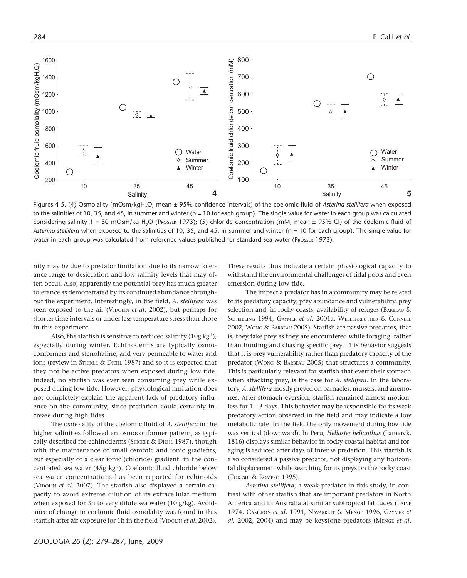

Figures 4-5. (4) Osmolality (mOsm/kgH<sub>2</sub>O, mean ± 95% confidence intervals) of the coelomic fluid of *Asterina stellifera* when exposed to the salinities of 10, 35, and 45, in summer and winter ( $n = 10$  for each group). The single value for water in each group was calculated considering salinity 1 = 30 mOsm/kg H<sub>2</sub>O (P<sub>ROSSER</sub> 1973); (5) chloride concentration (mM, mean ± 95% CI) of the coelomic fluid of *Asterina stellifera* when exposed to the salinities of 10, 35, and 45, in summer and winter (n = 10 for each group). The single value for water in each group was calculated from reference values published for standard sea water (PROSSER 1973).

nity may be due to predator limitation due to its narrow tolerance range to desiccation and low salinity levels that may often occur. Also, apparently the potential prey has much greater tolerance as demonstrated by its continued abundance throughout the experiment. Interestingly, in the field, *A. stellifera* was seen exposed to the air (VIDOLIN *et al.* 2002), but perhaps for shorter time intervals or under less temperature stress than those in this experiment.

Also, the starfish is sensitive to reduced salinity  $(10g kg<sup>-1</sup>)$ , especially during winter. Echinoderms are typically osmoconformers and stenohaline, and very permeable to water and ions (review in STICKLE & DIEHL 1987) and so it is expected that they not be active predators when exposed during low tide. Indeed, no starfish was ever seen consuming prey while exposed during low tide. However, physiological limitation does not completely explain the apparent lack of predatory influence on the community, since predation could certainly increase during high tides.

The osmolality of the coelomic fluid of *A. stellifera* in the higher salinities followed an osmoconformer pattern, as typically described for echinoderms (STICKLE & DIEHL 1987), though with the maintenance of small osmotic and ionic gradients, but especially of a clear ionic (chloride) gradient, in the concentrated sea water (45g kg-1). Coelomic fluid chloride below sea water concentrations has been reported for echinoids (VIDOLIN *et al.* 2007). The starfish also displayed a certain capacity to avoid extreme dilution of its extracellular medium when exposed for 3h to very dilute sea water  $(10 \text{ g/kg})$ . Avoidance of change in coelomic fluid osmolality was found in this starfish after air exposure for 1h in the field (VIDOLIN et al. 2002).

These results thus indicate a certain physiological capacity to withstand the environmental challenges of tidal pools and even emersion during low tide.

The impact a predator has in a community may be related to its predatory capacity, prey abundance and vulnerability, prey selection and, in rocky coasts, availability of refuges (BARBEAU & SCHEIBLING 1994, GAYMER et al. 2001a, WELLENREUTHER & CONNELL 2002, WONG & BARBEAU 2005). Starfish are passive predators, that is, they take prey as they are encountered while foraging, rather than hunting and chasing specific prey. This behavior suggests that it is prey vulnerability rather than predatory capacity of the predator (WONG & BARBEAU 2005) that structures a community. This is particularly relevant for starfish that evert their stomach when attacking prey, is the case for *A. stellifera*. In the laboratory, *A. stellifera* mostly preyed on barnacles, mussels, and anemones. After stomach eversion, starfish remained almost motionless for 1 – 3 days. This behavior may be responsible for its weak predatory action observed in the field and may indicate a low metabolic rate. In the field the only movement during low tide was vertical (downward). In Peru, *Heliaster helianthus* (Lamarck, 1816) displays similar behavior in rocky coastal habitat and foraging is reduced after days of intense predation. This starfish is also considered a passive predator, not displaying any horizontal displacement while searching for its preys on the rocky coast (TOKESHI & ROMERO 1995).

*Asterina stellifera*, a weak predator in this study, in contrast with other starfish that are important predators in North America and in Australia at similar subtropical latitudes (PAINE 1974, CAMERON *et al.* 1991, NAVARRETE & MENGE 1996, GAYMER *et al.* 2002, 2004) and may be keystone predators (MENGE *et al.*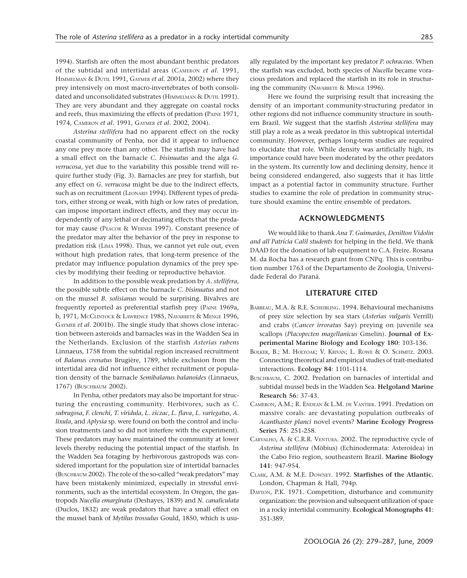1994). Starfish are often the most abundant benthic predators of the subtidal and intertidal areas (CAMERON *et al.* 1991, HIMMELMAN & DUTIL 1991, GAYMER *et al.* 2001a, 2002) where they prey intensively on most macro-invertebrates of both consolidated and unconsolidated substrates (HIMMELMAN & DUTIL 1991). They are very abundant and they aggregate on coastal rocks and reefs, thus maximizing the effects of predation **(**PAINE 1971, 1974, CAMERON *et al.* 1991, GAYMER *et al.* 2002, 2004).

*Asterina stellifera* had no apparent effect on the rocky coastal community of Penha, nor did it appear to influence any one prey more than any other. The starfish may have had a small effect on the barnacle *C. bisinuatus* and the alga *G. verrucosa*, yet due to the variability this possible trend will require further study (Fig. 3). Barnacles are prey for starfish, but any effect on *G. verrucosa* might be due to the indirect effects, such as on recruitment (LEONARD 1994). Different types of predators, either strong or weak, with high or low rates of predation, can impose important indirect effects, and they may occur independently of any lethal or decimating effects that the predator may cause (PEACOR & WERNER 1997). Constant presence of the predator may alter the behavior of the prey in response to predation risk (LIMA 1998). Thus, we cannot yet rule out, even without high predation rates, that long-term presence of the predator may influence population dynamics of the prey species by modifying their feeding or reproductive behavior.

In addition to the possible weak predation by *A. stellifera*, the possible subtle effect on the barnacle *C. bisinuatus* and not on the mussel *B. solisianus* would be surprising. Bivalves are frequently reported as preferential starfish prey (PAINE 1969a, b, 1971, MCCLINTOCK & LAWRENCE 1985, NAVARRETE & MENGE 1996, GAYMER *et al.* 2001b). The single study that shows close interaction between asteroids and barnacles was in the Wadden Sea in the Netherlands. Exclusion of the starfish *Asterias rubens* Linnaeus, 1758 from the subtidal region increased recruitment of *Balanus crenatus* Brugière, 1789, while exclusion from the intertidal area did not influence either recruitment or population density of the barnacle *Semibalanus balanoides* (Linnaeus, 1767) (BUSCHBAUM 2002).

In Penha, other predators may also be important for structuring the encrusting community. Herbivores, such as *C. subrugosa*, *F. clenchi*, *T. viridula*, *L. ziczac*, *L. flava*, *L. variegatus*, *A. lixula*, and *Aplysia* sp. were found on both the control and inclusion treatments (and so did not interfere with the experiment). These predators may have maintained the community at lower levels thereby reducing the potential impact of the starfish. In the Wadden Sea foraging by herbivorous gastropods was considered important for the population size of intertidal barnacles (BUSCHBAUM 2002). The role of the so-called "weak predators" may have been mistakenly minimized, especially in stressful environments, such as the intertidal ecosystem. In Oregon, the gastropods *Nucella emarginata* (Deshayes, 1839) and *N. canaliculata* (Duclos, 1832) are weak predators that have a small effect on the mussel bank of *Mytilus trossulus* Gould, 1850, which is usually regulated by the important key predator *P. ochraceus*. When the starfish was excluded, both species of *Nucella* became voracious predators and replaced the starfish in its role in structuring the community (NAVARRETE & MENGE 1996).

Here we found the surprising result that increasing the density of an important community-structuring predator in other regions did not influence community structure in southern Brazil. We suggest that the starfish *Asterina stellifera* may still play a role as a weak predator in this subtropical intertidal community. However, perhaps long-term studies are required to elucidate that role. While density was artificially high, its importance could have been moderated by the other predators in the system. Its currently low and declining density, hence it being considered endangered, also suggests that it has little impact as a potential factor in community structure. Further studies to examine the role of predation in community structure should examine the entire ensemble of predators.

# **ACKNOWLEDGMENTS**

We would like to thank *Ana T. Guimarães, Denilton Vidolin and all Patrícia Calil students* for helping in the field. We thank DAAD for the donation of lab equipment to C.A. Freire. Rosana M. da Rocha has a research grant from CNPq. This is contribution number 1763 of the Departamento de Zoologia, Universidade Federal do Paraná.

## **LITERATURE CITED**

- BARBEAU, M.A. & R.E. SCHEIBLING. 1994. Behavioural mechanisms of prey size selection by sea stars (*Asterias vulgaris* Verrill) and crabs (*Cancer irroratus* Say) preying on juvenile sea scallops (*Placopecten magellanicus* Gmelin). **Journal of Experimental Marine Biology and Ecology 180**: 103-136.
- BOLKER, B.; M. HOLYOAK; V. KRIVAN; L. ROWE & O. SCHMITZ. 2003. Connecting theoretical and empirical studies of trait-mediated interactions. **Ecology 84**: 1101-1114.
- BUSCHBAUM, C. 2002. Predation on barnacles of intertidal and subtidal mussel beds in the Wadden Sea. **Helgoland Marine Research 56**: 37-43.
- CAMERON, A.M.; R. ENDEAN & L.M. DE VANTIER. 1991. Predation on massive corals: are devastating population outbreaks of *Acanthaster planci* novel events? **Marine Ecology Progress Series 75**: 251-258.
- CARVALHO, A. & C.R.R. VENTURA. 2002. The reproductive cycle of *Asterina stellifera* (Möbius) (Echinodermata: Asteroidea) in the Cabo Frio region, southeastern Brazil. **Marine Biology 141**: 947-954.
- CLARK, A.M. & M.E. DOWNEY. 1992. **Starfishes of the Atlantic.** London, Chapman & Hall, 794p.
- DAYTON, P.K. 1971. Competition, disturbance and community organization: the provision and subsequent utilization of space in a rocky intertidal community. **Ecological Monographs 41**: 351-389.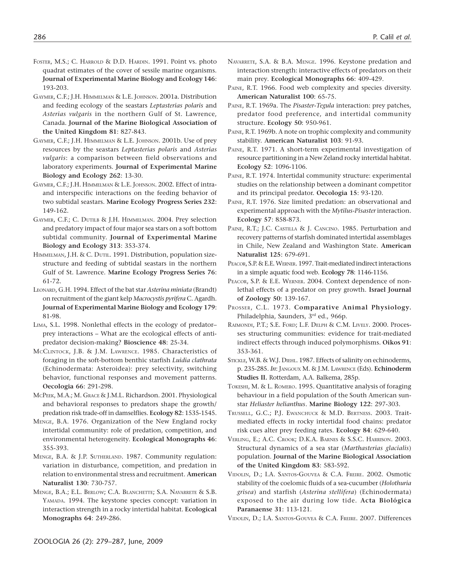- FOSTER, M.S.; C. HARROLD & D.D. HARDIN. 1991. Point vs. photo quadrat estimates of the cover of sessile marine organisms. **Journal of Experimental Marine Biology and Ecology 146**: 193-203.
- GAYMER, C.F.; J.H. HIMMELMAN & L.E. JOHNSON. 2001a. Distribution and feeding ecology of the seastars *Leptasterias polaris* and *Asterias vulgaris* in the northern Gulf of St. Lawrence, Canada. **Journal of the Marine Biological Association of the United Kingdom 81**: 827-843.
- GAYMER, C.F.; J.H. HIMMELMAN & L.E. JOHNSON. 2001b. Use of prey resources by the seastars *Leptasterias polaris* and *Asterias vulgaris*: a comparison between field observations and laboratory experiments. **Journal of Experimental Marine Biology and Ecology 262**: 13-30.
- GAYMER, C.F.; J.H. HIMMELMAN & L.E. JOHNSON. 2002. Effect of intraand interspecific interactions on the feeding behavior of two subtidal seastars. **Marine Ecology Progress Series 232**: 149-162.
- GAYMER, C.F.; C. DUTILB & J.H. HIMMELMAN. 2004. Prey selection and predatory impact of four major sea stars on a soft bottom subtidal community. **Journal of Experimental Marine Biology and Ecology 313**: 353-374.
- HIMMELMAN, J.H. & C. DUTIL. 1991. Distribution, population sizestructure and feeding of subtidal seastars in the northern Gulf of St. Lawrence. **Marine Ecology Progress Series 76**: 61-72.
- LEONARD, G.H. 1994. Effect of the bat star *Asterina miniata* (Brandt) on recruitment of the giant kelp *Macrocystis pyrifera* C. Agardh. **Journal of Experimental Marine Biology and Ecology 179**: 81-98.
- LIMA, S.L. 1998. Nonlethal effects in the ecology of predator– prey interactions – What are the ecological effects of antipredator decision-making? **Bioscience 48**: 25-34.
- MCCLINTOCK, J.B. & J.M. LAWRENCE. 1985. Characteristics of foraging in the soft-bottom benthic starfish *Luidia clathrata* (Echinodermata: Asteroidea): prey selectivity, switching behavior, functional responses and movement patterns. **Oecologia 66**: 291-298.
- MCPEEK, M.A.; M. GRACE & J.M.L. Richardson. 2001. Physiological and behavioral responses to predators shape the growth/ predation risk trade-off in damselflies. **Ecology 82**: 1535-1545.
- MENGE, B.A. 1976. Organization of the New England rocky intertidal community: role of predation, competition, and environmental heterogeneity. **Ecological Monographs 46**: 355-393.
- MENGE, B.A. & J.P. SUTHERLAND. 1987. Community regulation: variation in disturbance, competition, and predation in relation to environmental stress and recruitment. **American Naturalist 130**: 730-757.
- MENGE, B.A.; E.L. BERLOW; C.A. BLANCHETTE; S.A. NAVARRETE & S.B. YAMADA. 1994. The keystone species concept: variation in interaction strength in a rocky intertidal habitat. **Ecological Monographs 64**: 249-286.
- NAVARRETE, S.A. & B.A. MENGE. 1996. Keystone predation and interaction strength: interactive effects of predators on their main prey. **Ecological Monographs 66**: 409-429.
- PAINE, R.T. 1966. Food web complexity and species diversity. **American Naturalist 100**: 65-75.
- PAINE, R.T. 1969a. The *Pisaster*-*Tegula* interaction: prey patches, predator food preference, and intertidal community structure. **Ecology 50**: 950-961.
- PAINE, R.T. 1969b. A note on trophic complexity and community stability. **American Naturalist 103**: 91-93.
- PAINE, R.T. 1971. A short-term experimental investigation of resource partitioning in a New Zeland rocky intertidal habitat. **Ecology 52**: 1096-1106.
- PAINE, R.T. 1974. Intertidal community structure: experimental studies on the relationship between a dominant competitor and its principal predator. **Oecologia 15**: 93-120.
- PAINE, R.T. 1976. Size limited predation: an observational and experimental approach with the *Mytilus-Pisaster* interaction. **Ecology 57**: 858-873.
- PAINE, R.T.; J.C. CASTILLA & J. CANCINO. 1985. Perturbation and recovery patterns of starfish dominated intertidal assemblages in Chile, New Zealand and Washington State. **American Naturalist 125**: 679-691.
- PEACOR, S.P. & E.E. WERNER. 1997. Trait-mediated indirect interactions in a simple aquatic food web. **Ecology 78**: 1146-1156.
- PEACOR, S.P. & E.E. WERNER. 2004. Context dependence of nonlethal effects of a predator on prey growth. **Israel Journal of Zoology 50**: 139-167.
- PROSSER, C.L. 1973. **Comparative Animal Physiology.** Philadelphia, Saunders, 3rd ed., 966p.
- RAIMONDI, P.T.; S.E. FORD; L.F. DELPH & C.M. LIVELY. 2000. Processes structuring communities: evidence for trait-mediated indirect effects through induced polymorphisms. **Oikos 91**: 353-361.
- STICKLE, W.B. & W.J. DIEHL. 1987. Effects of salinity on echinoderms, p. 235-285. *In*: JANGOUX M. & J.M. LAWRENCE (Eds). **Echinoderm Studies II.** Rotterdam, A.A. Balkema, 285p.
- TOKESHI, M. & L. ROMERO. 1995. Quantitative analysis of foraging behaviour in a field population of the South American sunstar *Heliaster helianthus*. **Marine Biology 122**: 297-303.
- TRUSSELL, G.C.; P.J. EWANCHUCK & M.D. BERTNESS. 2003. Traitmediated effects in rocky intertidal food chains: predator risk cues alter prey feeding rates. **Ecology 84**: 629-640.
- VERLING, E.; A.C. CROOK; D.K.A. BARNES & S.S.C. HARRISON. 2003. Structural dynamics of a sea star (*Marthasterias glacialis*) population. **Journal of the Marine Biological Association of the United Kingdom 83**: 583-592.
- VIDOLIN, D.; I.A. SANTOS-GOUVEA & C.A. FREIRE. 2002. Osmotic stability of the coelomic fluids of a sea-cucumber (*Holothuria grisea*) and starfish (*Asterina stellifera*) (Echinodermata) exposed to the air during low tide. **Acta Biológica Paranaense 31**: 113-121.
- VIDOLIN, D.; I.A. SANTOS-GOUVEA & C.A. FREIRE. 2007. Differences